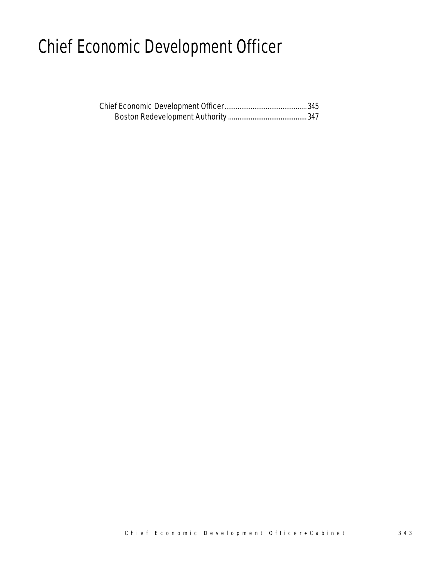# Chief Economic Development Officer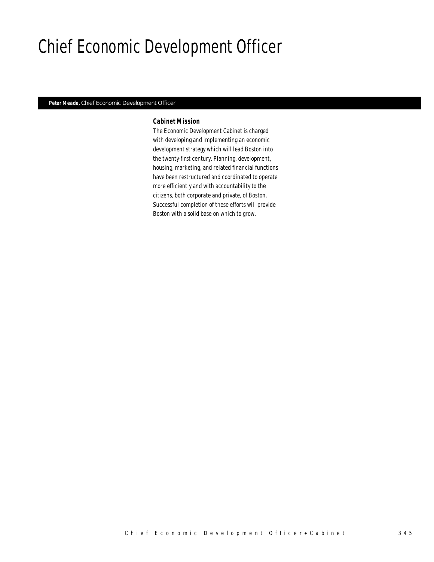# Chief Economic Development Officer

#### *Peter Meade, Chief Economic Development Officer*

#### *Cabinet Mission*

The Economic Development Cabinet is charged with developing and implementing an economic development strategy which will lead Boston into the twenty-first century. Planning, development, housing, marketing, and related financial functions have been restructured and coordinated to operate more efficiently and with accountability to the citizens, both corporate and private, of Boston. Successful completion of these efforts will provide Boston with a solid base on which to grow.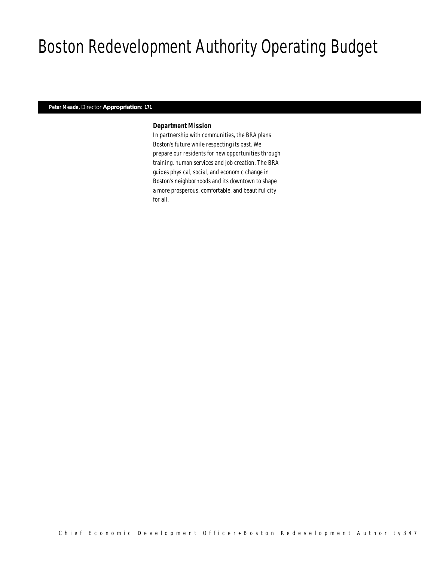# Boston Redevelopment Authority Operating Budget

## *Peter Meade, Director Appropriation: 171*

## *Department Mission*

In partnership with communities, the BRA plans Boston's future while respecting its past. We prepare our residents for new opportunities through training, human services and job creation. The BRA guides physical, social, and economic change in Boston's neighborhoods and its downtown to shape a more prosperous, comfortable, and beautiful city for all.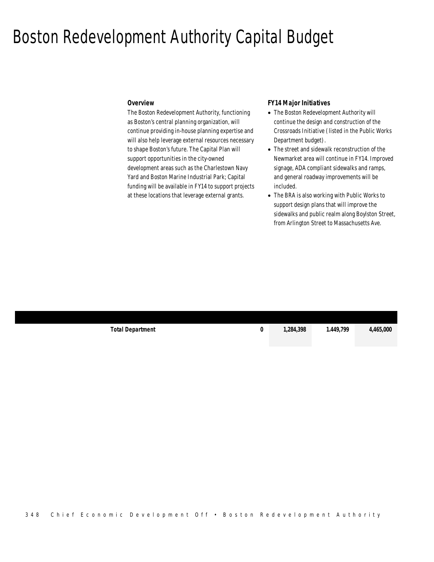## Boston Redevelopment Authority Capital Budget

#### *Overview*

ł

The Boston Redevelopment Authority, functioning as Boston's central planning organization, will continue providing in-house planning expertise and will also help leverage external resources necessary to shape Boston's future. The Capital Plan will support opportunities in the city-owned development areas such as the Charlestown Navy Yard and Boston Marine Industrial Park; Capital funding will be available in FY14 to support projects at these locations that leverage external grants.

#### *FY14 Major Initiatives*

- The Boston Redevelopment Authority will continue the design and construction of the Crossroads Initiative (listed in the Public Works Department budget).
- The street and sidewalk reconstruction of the Newmarket area will continue in FY14. Improved signage, ADA compliant sidewalks and ramps, and general roadway improvements will be included.
- The BRA is also working with Public Works to support design plans that will improve the sidewalks and public realm along Boylston Street, from Arlington Street to Massachusetts Ave.

| <b>Total Department</b> | 1,284,398 | .449.799 | 4,465,000 |
|-------------------------|-----------|----------|-----------|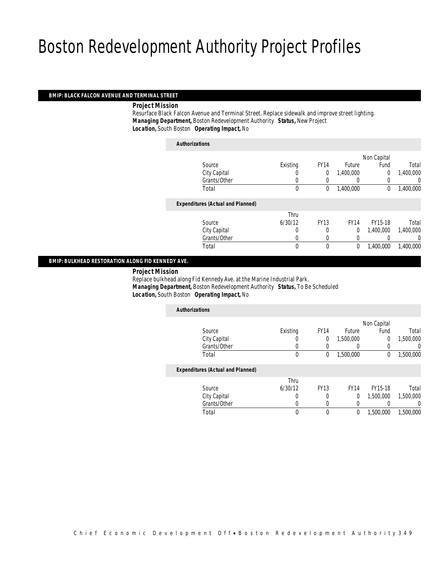#### *BMIP: BLACK FALCON AVENUE AND TERMINAL STREET*

*Project Mission*

 Resurface Black Falcon Avenue and Terminal Street. Replace sidewalk and improve street lighting. *Managing Department,* Boston Redevelopment Authority *Status,* New Project*Location,* South Boston *Operating Impact,* No

| <b>Authorizations</b>                    |          |             |                  |                |           |
|------------------------------------------|----------|-------------|------------------|----------------|-----------|
|                                          |          |             |                  | Non Capital    |           |
| Source                                   | Existing | <b>FY14</b> | Future           | Fund           | Total     |
| City Capital                             |          | 0           | 1,400,000        | $\overline{0}$ | 1,400,000 |
| Grants/Other                             | 0        |             | $\left( \right)$ | 0              | 0         |
| Total                                    | 0        | 0           | 1,400,000        | 0              | 1,400,000 |
| <b>Expenditures (Actual and Planned)</b> |          |             |                  |                |           |
|                                          | Thru     |             |                  |                |           |
| Source                                   | 6/30/12  | <b>FY13</b> | <b>FY14</b>      | FY15-18        | Total     |
| City Capital                             | 0        | $\left($    | 0                | 1.400.000      | 1,400,000 |
| Grants/Other                             |          |             | 0                |                | 0         |
| Total                                    | 0        | $\theta$    | 0                | 1,400,000      | 1,400,000 |
|                                          |          |             |                  |                |           |

### *BMIP: BULKHEAD RESTORATION ALONG FID KENNEDY AVE.*

*Project Mission*

 Replace bulkhead along Fid Kennedy Ave. at the Marine Industrial Park. *Managing Department,* Boston Redevelopment Authority *Status,* To Be Scheduled*Location,* South Boston *Operating Impact,* No

| <b>Authorizations</b>                    |          |             |             |             |           |
|------------------------------------------|----------|-------------|-------------|-------------|-----------|
|                                          |          |             |             | Non Capital |           |
| Source                                   | Existing | <b>FY14</b> | Future      | Fund        | Total     |
| City Capital                             | O        | 0           | 1,500,000   | 0           | 1,500,000 |
| Grants/Other                             | 0        |             |             |             | 0         |
| Total                                    | 0        | 0           | 1,500,000   | 0           | 1,500,000 |
| <b>Expenditures (Actual and Planned)</b> |          |             |             |             |           |
|                                          | Thru     |             |             |             |           |
| Source                                   | 6/30/12  | <b>FY13</b> | <b>FY14</b> | FY15-18     | Total     |
| City Capital                             | 0        | 0           | $\theta$    | 1,500,000   | 1.500.000 |
| Grants/Other                             | 0        | 0           | 0           |             | 0         |
| Total                                    | 0        | $\theta$    | 0           | 1,500,000   | 1,500,000 |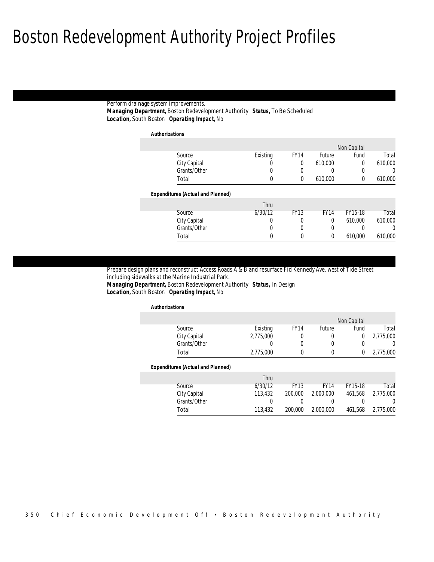#### Perform drainage system improvements. *Managing Department,* Boston Redevelopment Authority *Status,* To Be Scheduled*Location,* South Boston *Operating Impact,* No

*Authorizations*

|                  | Non Capital |               |             |          |                                          |
|------------------|-------------|---------------|-------------|----------|------------------------------------------|
| Total            | Fund        | <b>Future</b> | <b>FY14</b> | Existing | Source                                   |
| 610,000          | 0           | 610.000       | 0           | υ        | City Capital                             |
| $\left( \right)$ |             | O             |             | 0        | Grants/Other                             |
| 610,000          | $\Omega$    | 610,000       | 0           | 0        | Total                                    |
|                  |             |               |             |          | <b>Expenditures (Actual and Planned)</b> |
|                  |             |               |             |          |                                          |
|                  |             |               |             | Thru     |                                          |
| Total            | FY15-18     | <b>FY14</b>   | <b>FY13</b> | 6/30/12  | Source                                   |
| 610,000          | 610,000     | 0             | 0           | 0        | City Capital                             |
| 0                |             | 0             | 0           | 0        | Grants/Other                             |

Prepare design plans and reconstruct Access Roads A & B and resurface Fid Kennedy Ave. west of Tide Street including sidewalks at the Marine Industrial Park.

*Managing Department,* Boston Redevelopment Authority *Status,* In Design*Location,* South Boston *Operating Impact,* No

#### *Authorizations*

|              |           |             |        | Non Capital |           |
|--------------|-----------|-------------|--------|-------------|-----------|
| Source       | Existing  | <b>FY14</b> | Future | Fund        | Total     |
| City Capital | 2,775,000 |             |        |             | 2,775,000 |
| Grants/Other |           |             |        |             |           |
| Total        | 2,775,000 |             |        |             | 2,775,000 |

#### *Expenditures (Actual and Planned)*

|              | Thru    |             |             |         |           |
|--------------|---------|-------------|-------------|---------|-----------|
| Source       | 6/30/12 | <b>FY13</b> | <b>FY14</b> | FY15-18 | Total     |
| City Capital | 113,432 | 200,000     | 2,000,000   | 461.568 | 2,775,000 |
| Grants/Other |         |             |             |         |           |
| Total        | 113,432 | 200,000     | 2,000,000   | 461.568 | 2,775,000 |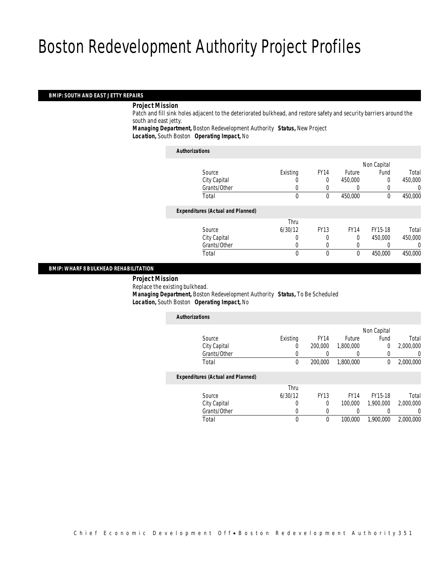## *BMIP: SOUTH AND EAST JETTY REPAIRS*

#### *Project Mission*

 Patch and fill sink holes adjacent to the deteriorated bulkhead, and restore safety and security barriers around the south and east jetty.

*Managing Department,* Boston Redevelopment Authority *Status,* New Project*Location,* South Boston *Operating Impact,* No

| <b>Authorizations</b>                    |          |             |                  |             |         |
|------------------------------------------|----------|-------------|------------------|-------------|---------|
|                                          |          |             |                  | Non Capital |         |
| Source                                   | Existing | <b>FY14</b> | <b>Future</b>    | Fund        | Total   |
| City Capital                             |          | $\theta$    | 450,000          | 0           | 450,000 |
| Grants/Other                             | 0        |             | $\left( \right)$ | 0           | 0       |
| Total                                    | 0        | 0           | 450,000          | 0           | 450,000 |
| <b>Expenditures (Actual and Planned)</b> |          |             |                  |             |         |
|                                          | Thru     |             |                  |             |         |
| Source                                   | 6/30/12  | <b>FY13</b> | <b>FY14</b>      | FY15-18     | Total   |
| City Capital                             | 0        | 0           | $\theta$         | 450.000     | 450,000 |
| Grants/Other                             | 0        | 0           | 0                |             | 0       |
| Total                                    | 0        | $\theta$    | $\theta$         | 450,000     | 450,000 |
|                                          |          |             |                  |             |         |

### *BMIP: WHARF 8 BULKHEAD REHABILITATION*

 *Project Mission* Replace the existing bulkhead.*Managing Department,* Boston Redevelopment Authority *Status,* To Be Scheduled

*Location,* South Boston *Operating Impact,* No

| <b>Authorizations</b>                    |             |             |               |             |           |
|------------------------------------------|-------------|-------------|---------------|-------------|-----------|
|                                          |             |             |               | Non Capital |           |
| Source                                   | Existing    | <b>FY14</b> | <b>Future</b> | Fund        | Total     |
| City Capital                             | 0           | 200,000     | 1.800.000     | 0           | 2,000,000 |
| Grants/Other                             | 0           |             | 0             | 0           | 0         |
| Total                                    | $\mathbf 0$ | 200,000     | 1,800,000     | 0           | 2.000.000 |
| <b>Expenditures (Actual and Planned)</b> |             |             |               |             |           |
|                                          | Thru        |             |               |             |           |
| Source                                   | 6/30/12     | <b>FY13</b> | <b>FY14</b>   | FY15-18     | Total     |
| City Capital                             | 0           | $\Omega$    | 100,000       | 1.900.000   | 2.000.000 |
| Grants/Other                             | 0           |             |               |             | 0         |
| Total                                    | 0           | 0           | 100,000       | 1,900,000   | 2.000.000 |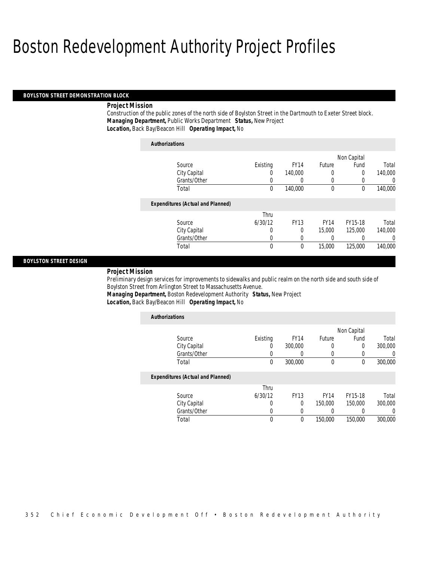*Authorizations*

#### *BOYLSTON STREET DEMONSTRATION BLOCK*

## *Project Mission*

Construction of the public zones of the north side of Boylston Street in the Dartmouth to Exeter Street block. *Managing Department,* Public Works Department *Status,* New Project*Location,* Back Bay/Beacon Hill *Operating Impact,* No

| Authorizations                           |          |             |             |             |         |
|------------------------------------------|----------|-------------|-------------|-------------|---------|
|                                          |          |             |             | Non Capital |         |
| Source                                   | Existing | <b>FY14</b> | Future      | Fund        | Total   |
| City Capital                             | $\left($ | 140,000     | 0           | 0           | 140,000 |
| Grants/Other                             | 0        |             | 0           |             | 0       |
| Total                                    | 0        | 140,000     | 0           | 0           | 140,000 |
| <b>Expenditures (Actual and Planned)</b> |          |             |             |             |         |
|                                          | Thru     |             |             |             |         |
| Source                                   | 6/30/12  | <b>FY13</b> | <b>FY14</b> | FY15-18     | Total   |
| City Capital                             | 0        | 0           | 15,000      | 125,000     | 140,000 |
| Grants/Other                             | 0        | 0           | 0           |             | 0       |
| Total                                    | 0        | $\mathbf 0$ | 15,000      | 125,000     | 140,000 |

#### *BOYLSTON STREET DESIGN*

#### *Project Mission*

Preliminary design services for improvements to sidewalks and public realm on the north side and south side of Boylston Street from Arlington Street to Massachusetts Avenue. *Managing Department,* Boston Redevelopment Authority *Status,* New Project

| Location, Back Bay/Beacon Hill Operating Impact, No |  |
|-----------------------------------------------------|--|
|-----------------------------------------------------|--|

| <b>Authorizations</b>                    |          |             |                  |             |                  |
|------------------------------------------|----------|-------------|------------------|-------------|------------------|
|                                          |          |             |                  | Non Capital |                  |
| Source                                   | Existing | <b>FY14</b> | Future           | Fund        | Total            |
| City Capital                             | U        | 300,000     |                  | $\Omega$    | 300,000          |
| Grants/Other                             | 0        |             | $\left( \right)$ |             | $\left( \right)$ |
| Total                                    | $\theta$ | 300,000     | $\mathbf{0}$     | $\Omega$    | 300,000          |
| <b>Expenditures (Actual and Planned)</b> |          |             |                  |             |                  |
|                                          | Thru     |             |                  |             |                  |
| Source                                   | 6/30/12  | <b>FY13</b> | <b>FY14</b>      | FY15-18     | Total            |
| City Capital                             | 0        | 0           | 150,000          | 150,000     | 300,000          |
| Grants/Other                             | 0        |             |                  |             |                  |
| Total                                    | 0        | 0           | 150,000          | 150,000     | 300,000          |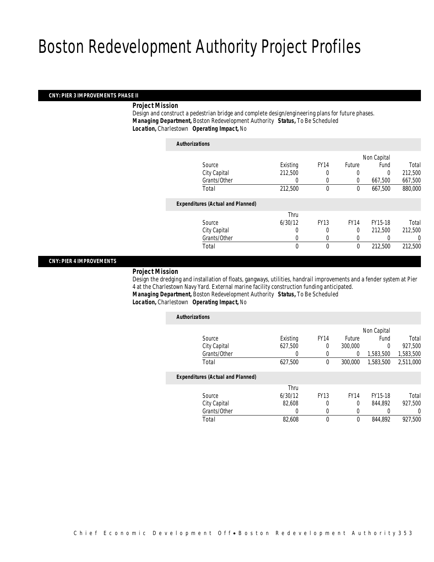#### *CNY: PIER 3 IMPROVEMENTS PHASE II*

## *Project Mission*

 Design and construct a pedestrian bridge and complete design/engineering plans for future phases. *Managing Department,* Boston Redevelopment Authority *Status,* To Be Scheduled*Location,* Charlestown *Operating Impact,* No

| <b>Authorizations</b>                    |          |             |               |             |         |
|------------------------------------------|----------|-------------|---------------|-------------|---------|
|                                          |          |             |               | Non Capital |         |
| Source                                   | Existing | <b>FY14</b> | <b>Future</b> | Fund        | Total   |
| City Capital                             | 212,500  |             | 0             | 0           | 212,500 |
| Grants/Other                             | 0        | 0           | 0             | 667,500     | 667,500 |
| Total                                    | 212,500  | 0           | 0             | 667,500     | 880,000 |
| <b>Expenditures (Actual and Planned)</b> |          |             |               |             |         |
|                                          | Thru     |             |               |             |         |
| Source                                   | 6/30/12  | <b>FY13</b> | <b>FY14</b>   | FY15-18     | Total   |
| City Capital                             | $\theta$ | 0           | $\Omega$      | 212,500     | 212,500 |
| Grants/Other                             | 0        |             |               |             | 0       |
| Total                                    | 0        | 0           | 0             | 212,500     | 212,500 |
|                                          |          |             |               |             |         |

#### *CNY: PIER 4 IMPROVEMENTS*

#### *Project Mission*

 Design the dredging and installation of floats, gangways, utilities, handrail improvements and a fender system at Pier 4 at the Charlestown Navy Yard. External marine facility construction funding anticipated. *Managing Department,* Boston Redevelopment Authority *Status,* To Be Scheduled

## *Location,* Charlestown *Operating Impact,* No

| <b>Authorizations</b>                    |          |             |             |             |           |
|------------------------------------------|----------|-------------|-------------|-------------|-----------|
|                                          |          |             |             | Non Capital |           |
| Source                                   | Existing | <b>FY14</b> | Future      | Fund        | Total     |
| City Capital                             | 627,500  | 0           | 300,000     | 0           | 927,500   |
| Grants/Other                             | 0        | 0           | 0           | 1.583.500   | 1,583,500 |
| Total                                    | 627,500  | 0           | 300,000     | 1.583.500   | 2,511,000 |
| <b>Expenditures (Actual and Planned)</b> |          |             |             |             |           |
|                                          | Thru     |             |             |             |           |
| Source                                   | 6/30/12  | <b>FY13</b> | <b>FY14</b> | FY15-18     | Total     |
| City Capital                             | 82.608   | 0           | $\theta$    | 844.892     | 927.500   |
| Grants/Other                             | 0        | 0           | 0           |             | 0         |
| Total                                    | 82,608   | 0           | 0           | 844.892     | 927.500   |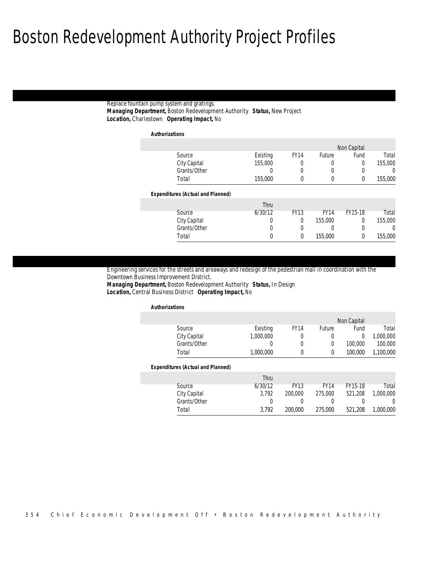## Replace fountain pump system and gratings. *Managing Department,* Boston Redevelopment Authority *Status,* New Project*Location,* Charlestown *Operating Impact,* No

*Authorizations*

|          | Non Capital |               |                  |          |                                          |
|----------|-------------|---------------|------------------|----------|------------------------------------------|
| Total    | Fund        | <b>Future</b> | <b>FY14</b>      | Existing | Source                                   |
| 155,000  | 0           | 0             | 0                | 155,000  | City Capital                             |
| $\Omega$ |             | 0             | $\left( \right)$ | O        | Grants/Other                             |
| 155,000  | 0           | 0             | 0                | 155,000  | Total                                    |
|          |             |               |                  |          | <b>Expenditures (Actual and Planned)</b> |
|          |             |               |                  |          |                                          |
|          |             |               |                  | Thru     |                                          |
| Total    | FY15-18     | <b>FY14</b>   | <b>FY13</b>      | 6/30/12  | Source                                   |
| 155,000  | 0           | 155,000       | 0                | 0        | City Capital                             |
| $\Omega$ | 0           | 0             | 0                | 0        | Grants/Other                             |

Engineering services for the streets and areaways and redesign of the pedestrian mall in coordination with the Downtown Business Improvement District.

*Managing Department,* Boston Redevelopment Authority *Status,* In Design*Location,* Central Business District *Operating Impact,* No

#### *Authorizations*

|              |           |             |               | Non Capital |           |
|--------------|-----------|-------------|---------------|-------------|-----------|
| Source       | Existing  | <b>FY14</b> | <b>Future</b> | Fund        | Total     |
| City Capital | 1.000.000 |             |               |             | 1,000,000 |
| Grants/Other |           |             |               | 100.000     | 100,000   |
| Total        | 1.000.000 |             |               | 100,000     | 1,100,000 |

#### *Expenditures (Actual and Planned)*

|              | Thru    |             |             |         |           |
|--------------|---------|-------------|-------------|---------|-----------|
| Source       | 6/30/12 | <b>FY13</b> | <b>FY14</b> | FY15-18 | Total     |
| City Capital | 3.792   | 200,000     | 275,000     | 521,208 | 1,000,000 |
| Grants/Other |         |             |             |         |           |
| Total        | 3.792   | 200,000     | 275,000     | 521,208 | 1,000,000 |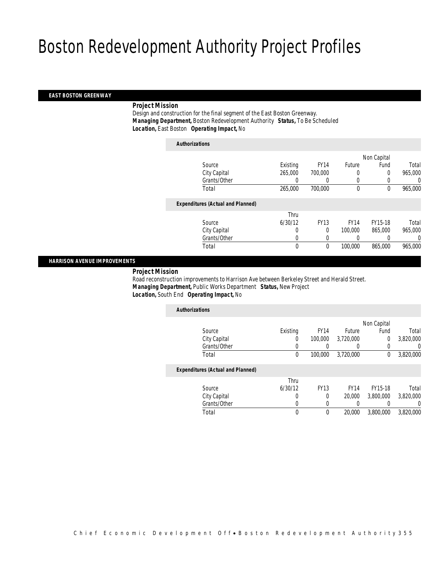### *EAST BOSTON GREENWAY*

### *Project Mission*

 Design and construction for the final segment of the East Boston Greenway. *Managing Department,* Boston Redevelopment Authority *Status,* To Be Scheduled*Location,* East Boston *Operating Impact,* No

| <b>Authorizations</b>                    |                  |                  |             |             |         |
|------------------------------------------|------------------|------------------|-------------|-------------|---------|
|                                          |                  |                  |             | Non Capital |         |
| Source                                   | Existing         | <b>FY14</b>      | Future      | Fund        | Total   |
| City Capital                             | 265,000          | 700,000          | 0           | 0           | 965,000 |
| Grants/Other                             | 0                | $\left( \right)$ | 0           | 0           | 0       |
| Total                                    | 265,000          | 700,000          | $\mathbf 0$ | 0           | 965,000 |
| <b>Expenditures (Actual and Planned)</b> |                  |                  |             |             |         |
|                                          | Thru             |                  |             |             |         |
| Source                                   | 6/30/12          | <b>FY13</b>      | <b>FY14</b> | FY15-18     | Total   |
| City Capital                             | 0                | $\Omega$         | 100,000     | 865,000     | 965,000 |
| Grants/Other                             | 0                | 0                |             |             | 0       |
| Total                                    | $\boldsymbol{0}$ | $\mathbf{0}$     | 100,000     | 865,000     | 965,000 |
|                                          |                  |                  |             |             |         |

## *HARRISON AVENUE IMPROVEMENTS*

#### *Project Mission*

 Road reconstruction improvements to Harrison Ave between Berkeley Street and Herald Street. *Managing Department,* Public Works Department *Status,* New Project*Location,* South End *Operating Impact,* No

| <b>Authorizations</b>                    |          |             |             |                |           |
|------------------------------------------|----------|-------------|-------------|----------------|-----------|
|                                          |          |             |             | Non Capital    |           |
| Source                                   | Existing | <b>FY14</b> | Future      | Fund           | Total     |
| City Capital                             | 0        | 100,000     | 3.720.000   | $\overline{0}$ | 3,820,000 |
| Grants/Other                             | 0        |             | 0           | 0              | 0         |
| Total                                    | 0        | 100,000     | 3,720,000   | 0              | 3,820,000 |
| <b>Expenditures (Actual and Planned)</b> |          |             |             |                |           |
|                                          | Thru     |             |             |                |           |
| Source                                   | 6/30/12  | <b>FY13</b> | <b>FY14</b> | FY15-18        | Total     |
| City Capital                             | 0        | 0           | 20,000      | 3.800.000      | 3,820,000 |
| Grants/Other                             | 0        | $\left($    | 0           |                | $\Omega$  |
| Total                                    | 0        | 0           | 20,000      | 3,800,000      | 3,820,000 |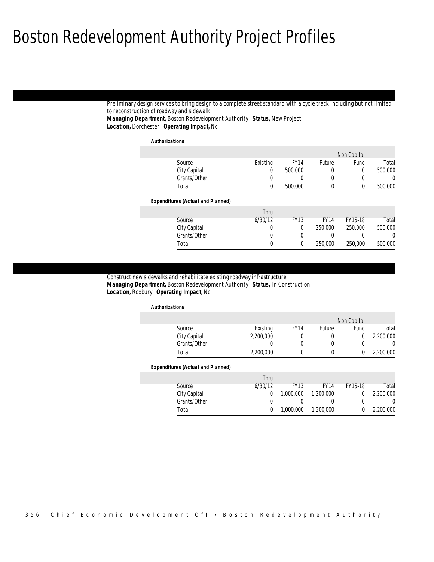Preliminary design services to bring design to a complete street standard with a cycle track including but not limited to reconstruction of roadway and sidewalk. *Managing Department,* Boston Redevelopment Authority *Status,* New Project

*Location,* Dorchester *Operating Impact,* No

*Authorizations*

|                  | Non Capital |             |             |          |                                          |
|------------------|-------------|-------------|-------------|----------|------------------------------------------|
| Total            | Fund        | Future      | <b>FY14</b> | Existing | Source                                   |
| 500,000          | 0           | 0           | 500,000     | 0        | City Capital                             |
| $\left( \right)$ | 0           | 0           | 0           | 0        | Grants/Other                             |
| 500,000          | 0           | 0           | 500,000     | 0        | Total                                    |
|                  |             |             |             |          | <b>Expenditures (Actual and Planned)</b> |
|                  |             |             |             |          |                                          |
|                  |             |             |             | Thru     |                                          |
| Total            | FY15-18     | <b>FY14</b> | <b>FY13</b> | 6/30/12  | Source                                   |
| 500,000          | 250,000     | 250,000     | 0           | 0        | City Capital                             |
| 0                |             | 0           | 0           | 0        | Grants/Other                             |

#### Construct new sidewalks and rehabilitate existing roadway infrastructure.

 *Managing Department,* Boston Redevelopment Authority *Status,* In Construction*Location,* Roxbury *Operating Impact,* No

#### *Authorizations*

| Source       | Existing  | <b>FY14</b> | Future | Fund | Total       |
|--------------|-----------|-------------|--------|------|-------------|
| City Capital | 2,200,000 |             |        |      | 2,200,000   |
| Grants/Other |           |             |        |      |             |
| Total        | 2.200.000 |             |        |      | 2,200,000   |
|              |           |             |        |      | Non Capital |

#### *Expenditures (Actual and Planned)*

|              | Thru    |             |             |         |           |
|--------------|---------|-------------|-------------|---------|-----------|
| Source       | 6/30/12 | <b>FY13</b> | <b>FY14</b> | FY15-18 | Total     |
| City Capital |         | 1,000,000   | 1.200.000   |         | 2,200,000 |
| Grants/Other |         |             |             |         |           |
| Total        |         | 1.000.000   | 1,200,000   |         | 2,200,000 |